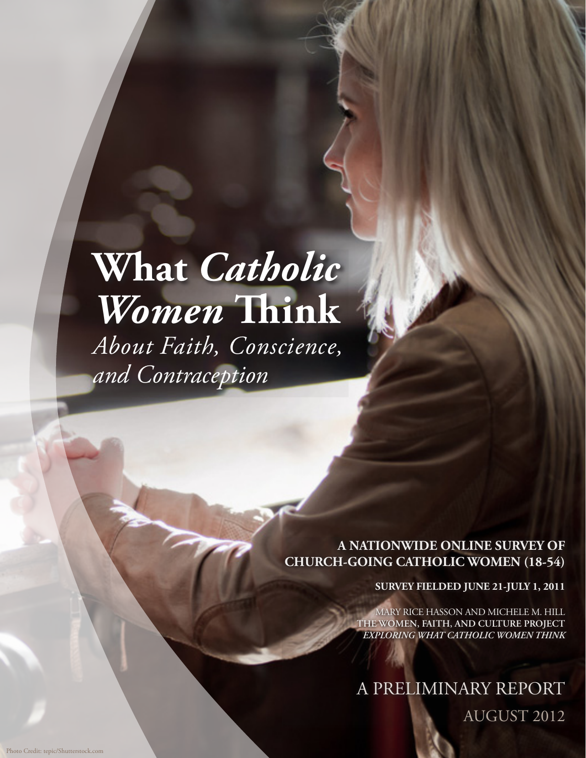## **What** *Catholic Women* **!ink** *About Faith, Conscience, and Contraception*

**A NATIONWIDE ONLINE SURVEY OF CHURCH-GOING CATHOLIC WOMEN (18-54)**

**SURVEY FIELDED JUNE 21-JULY 1, 2011**

MARY RICE HASSON AND MICHELE M. HILL **THE WOMEN, FAITH, AND CULTURE PROJECT** *EXPLORING WHAT CATHOLIC WOMEN THINK*

A PRELIMINARY REPORT AUGUST 2012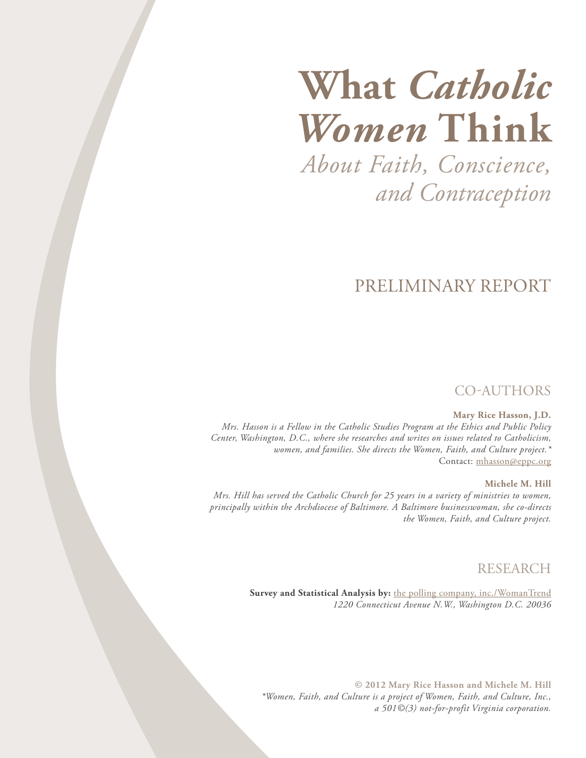# **What** *Catholic Women* **Think**

*About Faith, Conscience, and Contraception*

### PRELIMINARY REPORT

#### CO-AUTHORS

#### **Mary Rice Hasson, J.D.**

*Mrs. Hasson is a Fellow in the Catholic Studies Program at the Ethics and Public Policy Center, Washington, D.C., where she researches and writes on issues related to Catholicism, women, and families. She directs the Women, Faith, and Culture project.\**  Contact: [mhasson@eppc.org](mailto:mhasson@eppc.org)

#### **Michele M. Hill**

*Mrs. Hill has served the Catholic Church for 25 years in a variety of ministries to women, principally within the Archdiocese of Baltimore. A Baltimore businesswoman, she co-directs the Women, Faith, and Culture project.*

#### RESEARCH

**Survey and Statistical Analysis by:** [the polling company, inc./WomanTrend](http://www.pollingcompany.com) *1220 Connecticut Avenue N.W., Washington D.C. 20036*

**© 2012 Mary Rice Hasson and Michele M. Hill** *\*Women, Faith, and Culture is a project of Women, Faith, and Culture, Inc., a 501©(3) not-for-profit Virginia corporation.*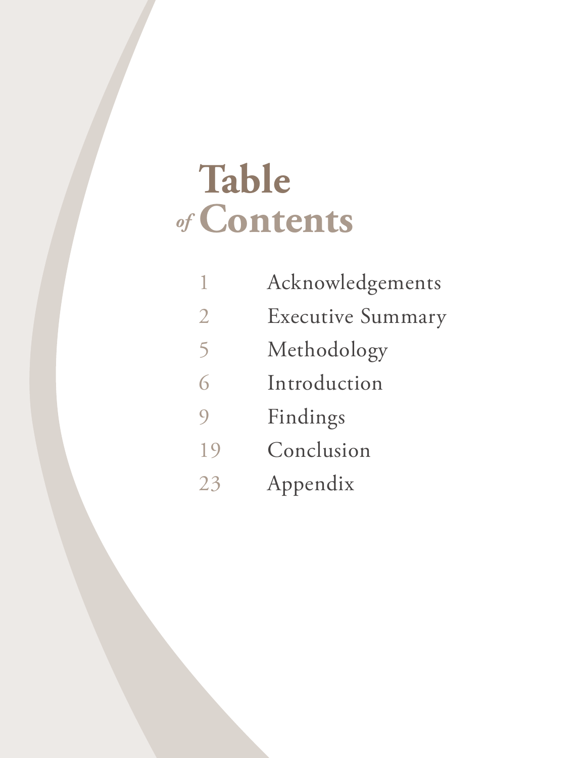## **Table Contents** *of*

| 1              | Acknowledgements         |
|----------------|--------------------------|
| $\overline{2}$ | <b>Executive Summary</b> |
| 5              | Methodology              |
| 6              | Introduction             |
| $\overline{O}$ | Findings                 |
| 19             | Conclusion               |
| 23             | Appendix                 |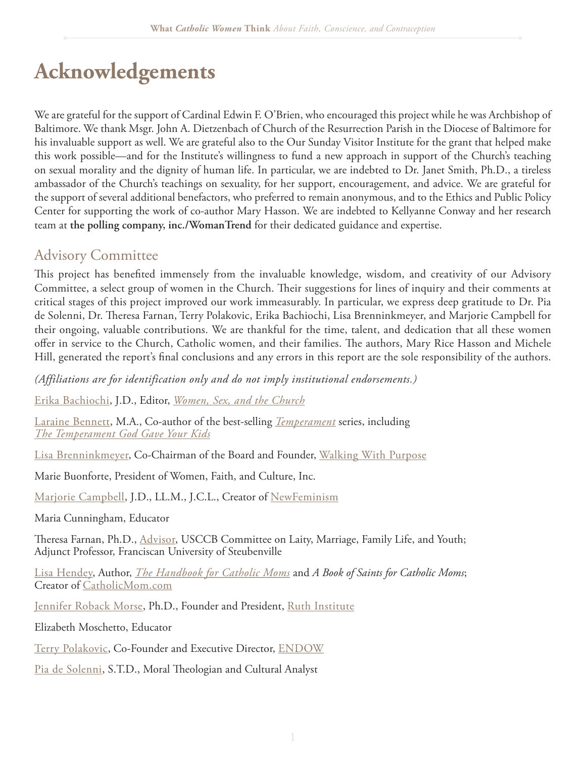## **Acknowledgements**

We are grateful for the support of Cardinal Edwin F. O'Brien, who encouraged this project while he was Archbishop of Baltimore. We thank Msgr. John A. Dietzenbach of Church of the Resurrection Parish in the Diocese of Baltimore for his invaluable support as well. We are grateful also to the Our Sunday Visitor Institute for the grant that helped make this work possible—and for the Institute's willingness to fund a new approach in support of the Church's teaching on sexual morality and the dignity of human life. In particular, we are indebted to Dr. Janet Smith, Ph.D., a tireless ambassador of the Church's teachings on sexuality, for her support, encouragement, and advice. We are grateful for the support of several additional benefactors, who preferred to remain anonymous, and to the Ethics and Public Policy Center for supporting the work of co-author Mary Hasson. We are indebted to Kellyanne Conway and her research team at **the polling company, inc./WomanTrend** for their dedicated guidance and expertise.

#### Advisory Committee

This project has benefited immensely from the invaluable knowledge, wisdom, and creativity of our Advisory Committee, a select group of women in the Church. Their suggestions for lines of inquiry and their comments at critical stages of this project improved our work immeasurably. In particular, we express deep gratitude to Dr. Pia de Solenni, Dr. Theresa Farnan, Terry Polakovic, Erika Bachiochi, Lisa Brenninkmeyer, and Marjorie Campbell for their ongoing, valuable contributions. We are thankful for the time, talent, and dedication that all these women offer in service to the Church, Catholic women, and their families. The authors, Mary Rice Hasson and Michele Hill, generated the report's final conclusions and any errors in this report are the sole responsibility of the authors.

*(Affiliations are for identification only and do not imply institutional endorsements.)*

[Erika Bachiochi](http://erika.bachiochi.com/), J.D., Editor, *[Women, Sex, and the Church](http://erika.bachiochi.com/)*

[Laraine Bennett,](http://www.catholic.com/profiles/laraine-bennett) M.A., Co-author of the best-selling *[Temperament](http://www.amazon.com/The-Temperament-God-Gave-You/dp/1933184027/ref=pd_sim_b_1)* series, including *[The Temperament God Gave Your Kids](http://www.youtube.com/watch?v=-pDXsgXwN-o&feature=endscreen&NR=1)*

[Lisa Brenninkmeyer](http://www.walkingwithpurpose.com/about-us/board-members/contacts?layout=item&cid=221), Co-Chairman of the Board and Founder, [Walking With Purpose](http://www.walkingwithpurpose.com/)

Marie Buonforte, President of Women, Faith, and Culture, Inc.

[Marjorie Campbell](http://www.newfeminism.co/author/marjorie-campbell/), J.D., LL.M., J.C.L., Creator of [NewFeminism](http://www.newfeminism.co/)

Maria Cunningham, Educator

Theresa Farnan, Ph.D., [Advisor](http://old.usccb.org/laity/staff.shtml), USCCB Committee on Laity, Marriage, Family Life, and Youth; Adjunct Professor, Franciscan University of Steubenville

[Lisa Hendey,](http://lisahendey.com/category/lisa-hendey/) Author, *[The Handbook for Catholic Moms](http://www.amazon.com/The-Handbook-Catholic-Moms-Nurturing/dp/159471228X)* and *A Book of Saints for Catholic Moms*; Creator of [CatholicMom.com](http://catholicmom.com/)

[Jennifer Roback Morse](http://www.ruthinstitute.org/pages/DrJBio.html), Ph.D., Founder and President, [Ruth Institute](http://www.ruthinstitute.org/index.html)

Elizabeth Moschetto, Educator

[Terry Polakovic,](http://endowgroups.org/2011/02/endows-executive-director/) Co-Founder and Executive Director, [ENDOW](http://endowgroups.org/)

[Pia de Solenni,](http://piadesolenni.com/about-dr-pia/) S.T.D., Moral Theologian and Cultural Analyst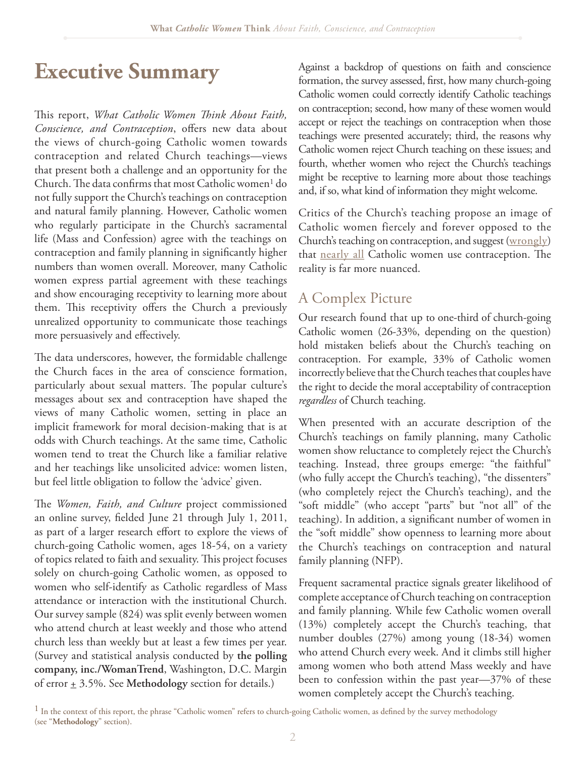## **Executive Summary**

This report, *What Catholic Women Think About Faith*, Conscience, and Contraception, offers new data about the views of church-going Catholic women towards contraception and related Church teachings—views that present both a challenge and an opportunity for the Church. The data confirms that most Catholic women<sup>1</sup> do not fully support the Church's teachings on contraception and natural family planning. However, Catholic women who regularly participate in the Church's sacramental life (Mass and Confession) agree with the teachings on contraception and family planning in significantly higher numbers than women overall. Moreover, many Catholic women express partial agreement with these teachings and show encouraging receptivity to learning more about them. This receptivity offers the Church a previously unrealized opportunity to communicate those teachings more persuasively and effectively.

The data underscores, however, the formidable challenge the Church faces in the area of conscience formation, particularly about sexual matters. The popular culture's messages about sex and contraception have shaped the views of many Catholic women, setting in place an implicit framework for moral decision-making that is at odds with Church teachings. At the same time, Catholic women tend to treat the Church like a familiar relative and her teachings like unsolicited advice: women listen, but feel little obligation to follow the 'advice' given.

The *Women, Faith, and Culture* project commissioned an online survey, fielded June 21 through July 1, 2011, as part of a larger research effort to explore the views of church-going Catholic women, ages 18-54, on a variety of topics related to faith and sexuality. This project focuses solely on church-going Catholic women, as opposed to women who self-identify as Catholic regardless of Mass attendance or interaction with the institutional Church. Our survey sample (824) was split evenly between women who attend church at least weekly and those who attend church less than weekly but at least a few times per year. (Survey and statistical analysis conducted by **the polling company, inc./WomanTrend**, Washington, D.C. Margin of error  $\pm$  3.5%. See Methodology section for details.)

Against a backdrop of questions on faith and conscience formation, the survey assessed, first, how many church-going Catholic women could correctly identify Catholic teachings on contraception; second, how many of these women would accept or reject the teachings on contraception when those teachings were presented accurately; third, the reasons why Catholic women reject Church teaching on these issues; and fourth, whether women who reject the Church's teachings might be receptive to learning more about those teachings and, if so, what kind of information they might welcome.

Critics of the Church's teaching propose an image of Catholic women fiercely and forever opposed to the Church's teaching on contraception, and suggest [\(wrongly](http://www.washingtonpost.com/blogs/fact-checker/post/the-claim-that-98-percent-of-catholic-women-use-contraception-a-media-foul/2012/02/16/gIQAkPeqIR_blog.html)) that [nearly all](http://www.washingtonpost.com/blogs/fact-checker/post/the-claim-that-98-percent-of-catholic-women-use-contraception-a-media-foul/2012/02/16/gIQAkPeqIR_blog.html) Catholic women use contraception. The reality is far more nuanced.

#### A Complex Picture

Our research found that up to one-third of church-going Catholic women (26-33%, depending on the question) hold mistaken beliefs about the Church's teaching on contraception. For example, 33% of Catholic women incorrectly believe that the Church teaches that couples have the right to decide the moral acceptability of contraception *regardless* of Church teaching.

When presented with an accurate description of the Church's teachings on family planning, many Catholic women show reluctance to completely reject the Church's teaching. Instead, three groups emerge: "the faithful" (who fully accept the Church's teaching), "the dissenters" (who completely reject the Church's teaching), and the "soft middle" (who accept "parts" but "not all" of the teaching). In addition, a significant number of women in the "soft middle" show openness to learning more about the Church's teachings on contraception and natural family planning (NFP).

Frequent sacramental practice signals greater likelihood of complete acceptance of Church teaching on contraception and family planning. While few Catholic women overall (13%) completely accept the Church's teaching, that number doubles (27%) among young (18-34) women who attend Church every week. And it climbs still higher among women who both attend Mass weekly and have been to confession within the past year—37% of these women completely accept the Church's teaching.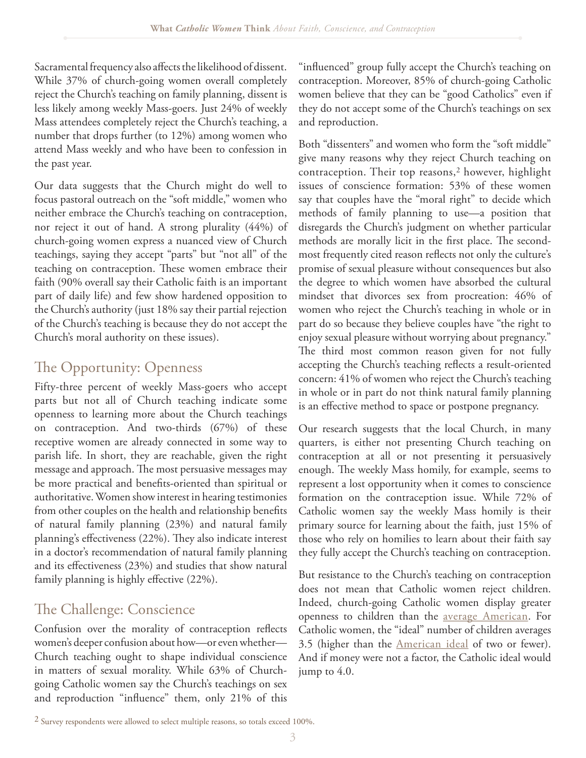Sacramental frequency also affects the likelihood of dissent. While 37% of church-going women overall completely reject the Church's teaching on family planning, dissent is less likely among weekly Mass-goers. Just 24% of weekly Mass attendees completely reject the Church's teaching, a number that drops further (to 12%) among women who attend Mass weekly and who have been to confession in the past year.

Our data suggests that the Church might do well to focus pastoral outreach on the "soft middle," women who neither embrace the Church's teaching on contraception, nor reject it out of hand. A strong plurality (44%) of church-going women express a nuanced view of Church teachings, saying they accept "parts" but "not all" of the teaching on contraception. These women embrace their faith (90% overall say their Catholic faith is an important part of daily life) and few show hardened opposition to the Church's authority (just 18% say their partial rejection of the Church's teaching is because they do not accept the Church's moral authority on these issues).

### The Opportunity: Openness

Fifty-three percent of weekly Mass-goers who accept parts but not all of Church teaching indicate some openness to learning more about the Church teachings on contraception. And two-thirds (67%) of these receptive women are already connected in some way to parish life. In short, they are reachable, given the right message and approach. The most persuasive messages may be more practical and benefits-oriented than spiritual or authoritative. Women show interest in hearing testimonies from other couples on the health and relationship benefits of natural family planning (23%) and natural family planning's effectiveness  $(22%)$ . They also indicate interest in a doctor's recommendation of natural family planning and its effectiveness  $(23%)$  and studies that show natural family planning is highly effective  $(22\%)$ .

### The Challenge: Conscience

Confusion over the morality of contraception reflects women's deeper confusion about how—or even whether— Church teaching ought to shape individual conscience in matters of sexual morality. While 63% of Churchgoing Catholic women say the Church's teachings on sex and reproduction "influence" them, only 21% of this

"influenced" group fully accept the Church's teaching on contraception. Moreover, 85% of church-going Catholic women believe that they can be "good Catholics" even if they do not accept some of the Church's teachings on sex and reproduction.

Both "dissenters" and women who form the "soft middle" give many reasons why they reject Church teaching on contraception. Their top reasons,2 however, highlight issues of conscience formation: 53% of these women say that couples have the "moral right" to decide which methods of family planning to use—a position that disregards the Church's judgment on whether particular methods are morally licit in the first place. The secondmost frequently cited reason reflects not only the culture's promise of sexual pleasure without consequences but also the degree to which women have absorbed the cultural mindset that divorces sex from procreation: 46% of women who reject the Church's teaching in whole or in part do so because they believe couples have "the right to enjoy sexual pleasure without worrying about pregnancy." The third most common reason given for not fully accepting the Church's teaching reflects a result-oriented concern: 41% of women who reject the Church's teaching in whole or in part do not think natural family planning is an effective method to space or postpone pregnancy.

Our research suggests that the local Church, in many quarters, is either not presenting Church teaching on contraception at all or not presenting it persuasively enough. The weekly Mass homily, for example, seems to represent a lost opportunity when it comes to conscience formation on the contraception issue. While 72% of Catholic women say the weekly Mass homily is their primary source for learning about the faith, just 15% of those who rely on homilies to learn about their faith say they fully accept the Church's teaching on contraception.

But resistance to the Church's teaching on contraception does not mean that Catholic women reject children. Indeed, church-going Catholic women display greater openness to children than the [average American.](http://www.gallup.com/poll/148355/americans-preference-smaller-families-edges-higher.aspx) For Catholic women, the "ideal" number of children averages 3.5 (higher than the [American ideal](http://www.gallup.com/poll/148355/americans-preference-smaller-families-edges-higher.aspx) of two or fewer). And if money were not a factor, the Catholic ideal would jump to 4.0.

<sup>2</sup> Survey respondents were allowed to select multiple reasons, so totals exceed 100%.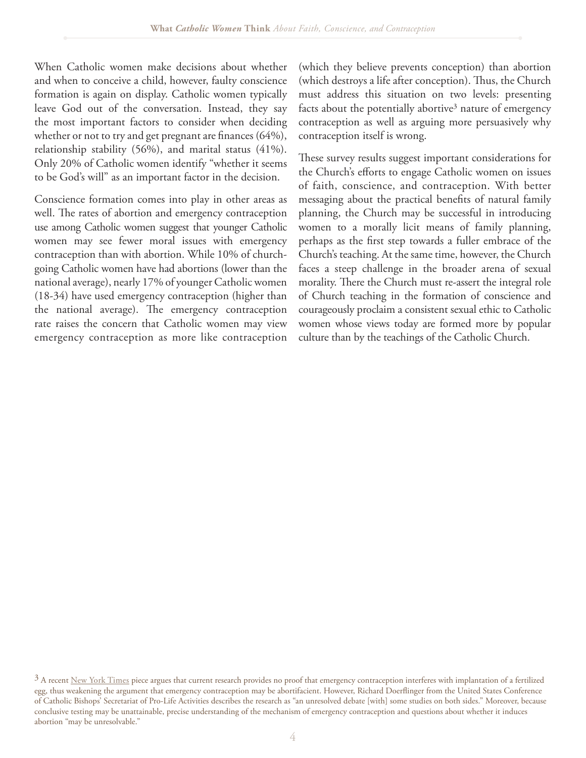When Catholic women make decisions about whether and when to conceive a child, however, faulty conscience formation is again on display. Catholic women typically leave God out of the conversation. Instead, they say the most important factors to consider when deciding whether or not to try and get pregnant are finances  $(64\%),$ relationship stability (56%), and marital status (41%). Only 20% of Catholic women identify "whether it seems to be God's will" as an important factor in the decision.

Conscience formation comes into play in other areas as well. The rates of abortion and emergency contraception use among Catholic women suggest that younger Catholic women may see fewer moral issues with emergency contraception than with abortion. While 10% of churchgoing Catholic women have had abortions (lower than the national average), nearly 17% of younger Catholic women (18-34) have used emergency contraception (higher than the national average). The emergency contraception rate raises the concern that Catholic women may view emergency contraception as more like contraception

(which they believe prevents conception) than abortion (which destroys a life after conception). Thus, the Church must address this situation on two levels: presenting facts about the potentially abortive<sup>3</sup> nature of emergency contraception as well as arguing more persuasively why contraception itself is wrong.

These survey results suggest important considerations for the Church's efforts to engage Catholic women on issues of faith, conscience, and contraception. With better messaging about the practical benefits of natural family planning, the Church may be successful in introducing women to a morally licit means of family planning, perhaps as the first step towards a fuller embrace of the Church's teaching. At the same time, however, the Church faces a steep challenge in the broader arena of sexual morality. There the Church must re-assert the integral role of Church teaching in the formation of conscience and courageously proclaim a consistent sexual ethic to Catholic women whose views today are formed more by popular culture than by the teachings of the Catholic Church.

 $3$  A recent [New York Times](http://www.nytimes.com/2012/06/06/health/research/morning-after-pills-dont-block-implantation-science-suggests.html?pagewanted=all) piece argues that current research provides no proof that emergency contraception interferes with implantation of a fertilized egg, thus weakening the argument that emergency contraception may be abortifacient. However, Richard Doerflinger from the United States Conference of Catholic Bishops' Secretariat of Pro-Life Activities describes the research as "an unresolved debate [with] some studies on both sides." Moreover, because conclusive testing may be unattainable, precise understanding of the mechanism of emergency contraception and questions about whether it induces abortion "may be unresolvable."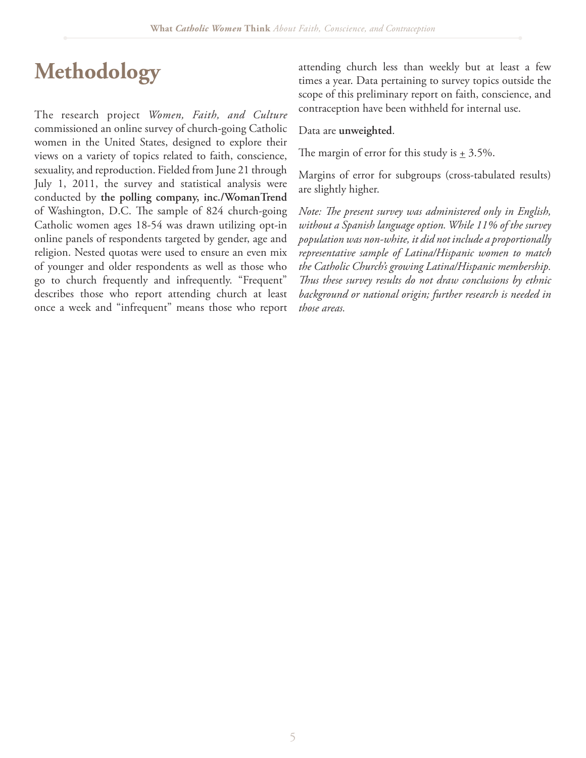## **Methodology**

The research project *Women, Faith, and Culture*  commissioned an online survey of church-going Catholic women in the United States, designed to explore their views on a variety of topics related to faith, conscience, sexuality, and reproduction. Fielded from June 21 through July 1, 2011, the survey and statistical analysis were conducted by **the polling company, inc./WomanTrend** of Washington, D.C. The sample of 824 church-going Catholic women ages 18-54 was drawn utilizing opt-in online panels of respondents targeted by gender, age and religion. Nested quotas were used to ensure an even mix of younger and older respondents as well as those who go to church frequently and infrequently. "Frequent" describes those who report attending church at least once a week and "infrequent" means those who report attending church less than weekly but at least a few times a year. Data pertaining to survey topics outside the scope of this preliminary report on faith, conscience, and contraception have been withheld for internal use.

Data are **unweighted**.

The margin of error for this study is  $\pm$  3.5%.

Margins of error for subgroups (cross-tabulated results) are slightly higher.

*Note: The present survey was administered only in English, without a Spanish language option. While 11% of the survey population was non-white, it did not include a proportionally representative sample of Latina/Hispanic women to match the Catholic Church's growing Latina/Hispanic membership.*  Thus these survey results do not draw conclusions by ethnic *background or national origin; further research is needed in those areas.*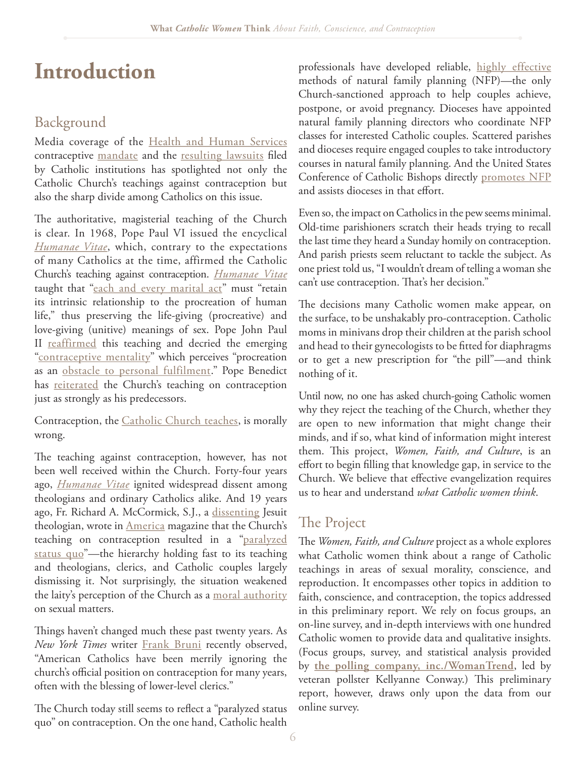## **Introduction**

### Background

Media coverage of the [Health and Human Services](http://www.hhs.gov/news/press/2012pres/01/20120120a.html) contraceptive m[andate](http://www.nytimes.com/2012/02/11/health/policy/obama-to-offer-accommodation-on-birth-control-rule-officials-say.html?pagewanted=all) and the [resulting lawsuits](http://www.becketfund.org/hhsinformationcentral/) filed by Catholic institutions has spotlighted not only the Catholic Church's teachings against contraception but also the sharp divide among Catholics on this issue.

The authoritative, magisterial teaching of the Church is clear. In 1968, Pope Paul VI issued the encyclical *[Humanae Vitae](http://www.vatican.va/holy_father/paul_vi/encyclicals/documents/hf_p-vi_enc_25071968_humanae-vitae_en.html)*, which, contrary to the expectations of many Catholics at the time, affirmed the Catholic Church's teaching against contraception. *[Humanae Vitae](http://www.vatican.va/holy_father/paul_vi/encyclicals/documents/hf_p-vi_enc_25071968_humanae-vitae_en.html)*  taught that ["each and every marital act](http://www.vatican.va/holy_father/paul_vi/encyclicals/documents/hf_p-vi_enc_25071968_humanae-vitae_en.html)" must "retain its intrinsic relationship to the procreation of human life," thus preserving the life-giving (procreative) and love-giving (unitive) meanings of sex. Pope John Paul II [reaffirmed](http://www.vatican.va/holy_father/john_paul_ii/apost_exhortations/documents/hf_jp-ii_exh_19811122_familiaris-consortio_en.html) this teaching and decried the emerging ["contraceptive mentality"](http://www.vatican.va/holy_father/john_paul_ii/apost_exhortations/documents/hf_jp-ii_exh_19811122_familiaris-consortio_en.html) which perceives "procreation as an [obstacle to personal fulfilment](http://www.vatican.va/holy_father/john_paul_ii/encyclicals/documents/hf_jp-ii_enc_25031995_evangelium-vitae_en.html)." Pope Benedict has [reiterated](http://www.vatican.va/holy_father/benedict_xvi/encyclicals/documents/hf_ben-xvi_enc_20090629_caritas-in-veritate_en.html) the Church's teaching on contraception just as strongly as his predecessors.

Contraception, the [Catholic Church teaches,](http://www.vatican.va/archive/ccc_css/archive/catechism/p3s2c2a6.htm) is morally wrong.

The teaching against contraception, however, has not been well received within the Church. Forty-four years ago, *[Humanae Vitae](http://www.vatican.va/holy_father/paul_vi/encyclicals/documents/hf_p-vi_enc_25071968_humanae-vitae_en.html)* ignited widespread dissent among theologians and ordinary Catholics alike. And 19 years ago, Fr. Richard A. McCormick, S.J., a [dissenting](http://www.religion-online.org/showarticle.asp?title=442) Jesuit theologian, wrote in **[America](http://www.americamagazine.org/content/article.cfm?article_id=10960)** magazine that the Church's teaching on contraception resulted in a ["paralyzed](http://www.americamagazine.org/content/article.cfm?article_id=10960) [status quo](http://www.americamagazine.org/content/article.cfm?article_id=10960)"—the hierarchy holding fast to its teaching and theologians, clerics, and Catholic couples largely dismissing it. Not surprisingly, the situation weakened the laity's perception of the Church as a [moral authority](http://opinionator.blogs.nytimes.com/2012/02/15/birth-control-and-the-challenge-to-divine-authority/) on sexual matters.

Things haven't changed much these past twenty years. As *New York Times* writer [Frank Bruni](http://www.nytimes.com/2012/03/20/opinion/bruni-many-kinds-of-catholic.html) recently observed, "American Catholics have been merrily ignoring the church's official position on contraception for many years, often with the blessing of lower-level clerics."

The Church today still seems to reflect a "paralyzed status" quo" on contraception. On the one hand, Catholic health

professionals have developed reliable, [highly effective](http://www.creightonmodel.com/effectiveness.htm) methods of natural family planning (NFP)—the only Church-sanctioned approach to help couples achieve, postpone, or avoid pregnancy. Dioceses have appointed natural family planning directors who coordinate NFP classes for interested Catholic couples. Scattered parishes and dioceses require engaged couples to take introductory courses in natural family planning. And the United States Conference of Catholic Bishops directly [promotes NFP](http://www.usccb.org/issues-and-action/marriage-and-family/natural-family-planning/) and assists dioceses in that effort.

Even so, the impact on Catholics in the pew seems minimal. Old-time parishioners scratch their heads trying to recall the last time they heard a Sunday homily on contraception. And parish priests seem reluctant to tackle the subject. As one priest told us, "I wouldn't dream of telling a woman she can't use contraception. That's her decision."

The decisions many Catholic women make appear, on the surface, to be unshakably pro-contraception. Catholic moms in minivans drop their children at the parish school and head to their gynecologists to be fitted for diaphragms or to get a new prescription for "the pill"—and think nothing of it.

Until now, no one has asked church-going Catholic women why they reject the teaching of the Church, whether they are open to new information that might change their minds, and if so, what kind of information might interest them. This project, *Women, Faith, and Culture*, is an effort to begin filling that knowledge gap, in service to the Church. We believe that effective evangelization requires us to hear and understand *what Catholic women think*.

#### The Project

The *Women, Faith, and Culture* project as a whole explores what Catholic women think about a range of Catholic teachings in areas of sexual morality, conscience, and reproduction. It encompasses other topics in addition to faith, conscience, and contraception, the topics addressed in this preliminary report. We rely on focus groups, an on-line survey, and in-depth interviews with one hundred Catholic women to provide data and qualitative insights. (Focus groups, survey, and statistical analysis provided by **[the polling company, inc./WomanTrend](http://www.pollingcompany.com)**, led by veteran pollster Kellyanne Conway.) This preliminary report, however, draws only upon the data from our online survey.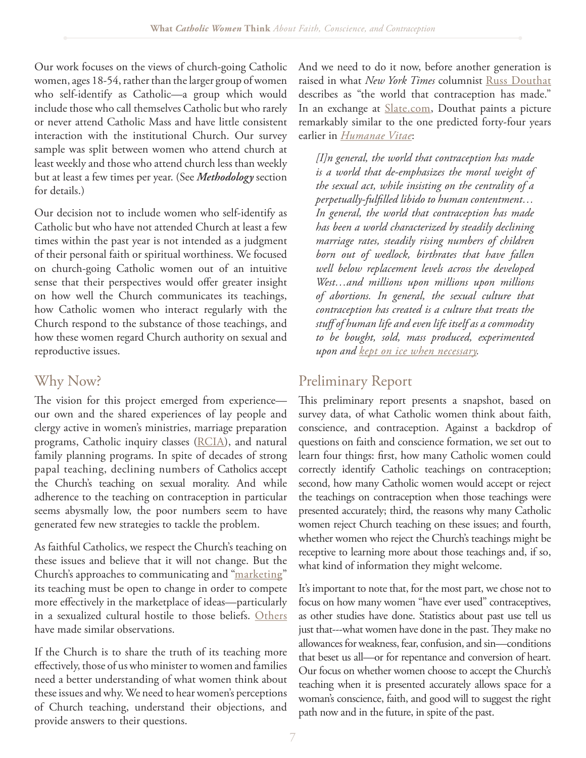Our work focuses on the views of church-going Catholic women, ages 18-54, rather than the larger group of women who self-identify as Catholic—a group which would include those who call themselves Catholic but who rarely or never attend Catholic Mass and have little consistent interaction with the institutional Church. Our survey sample was split between women who attend church at least weekly and those who attend church less than weekly but at least a few times per year. (See *Methodology* section for details.)

Our decision not to include women who self-identify as Catholic but who have not attended Church at least a few times within the past year is not intended as a judgment of their personal faith or spiritual worthiness. We focused on church-going Catholic women out of an intuitive sense that their perspectives would offer greater insight on how well the Church communicates its teachings, how Catholic women who interact regularly with the Church respond to the substance of those teachings, and how these women regard Church authority on sexual and reproductive issues.

#### Why Now?

The vision for this project emerged from experience our own and the shared experiences of lay people and clergy active in women's ministries, marriage preparation programs, Catholic inquiry classes [\(RCIA\)](http://old.usccb.org/comm/archives/rciaq&a98.shtml), and natural family planning programs. In spite of decades of strong papal teaching, declining numbers of Catholics accept the Church's teaching on sexual morality. And while adherence to the teaching on contraception in particular seems abysmally low, the poor numbers seem to have generated few new strategies to tackle the problem.

As faithful Catholics, we respect the Church's teaching on these issues and believe that it will not change. But the Church's approaches to communicating and ["marketing](http://www.washingtonpost.com/local/young-catholic-women-try-to-give-churchs-position-on-birth-control-new-sheen/2012/04/15/gIQA9n1mJT_story.html)" its teaching must be open to change in order to compete more effectively in the marketplace of ideas—particularly in a sexualized cultural hostile to those beliefs. [Others](http://www.washingtonpost.com/blogs/guest-voices/post/catholic-women-and-contraception-why-dont-catholics-use-natural-family-planning/2012/02/13/gIQAyZ3fBR_blog.html) have made similar observations.

If the Church is to share the truth of its teaching more effectively, those of us who minister to women and families need a better understanding of what women think about these issues and why. We need to hear women's perceptions of Church teaching, understand their objections, and provide answers to their questions.

And we need to do it now, before another generation is raised in what *New York Times* columnist [Russ Douthat](http://www.slate.com/articles/arts/the_book_club/features/2012/ross_douthat_s_bad_religion/bad_religion_book_the_world_that_contraception_has_made_.html)  describes as "the world that contraception has made." In an exchange at **[Slate.com](http://www.slate.com/articles/arts/the_book_club/features/2012/ross_douthat_s_bad_religion/bad_religion_book_the_world_that_contraception_has_made_.html)**, Douthat paints a picture remarkably similar to the one predicted forty-four years earlier in *[Humanae Vitae](http://www.vatican.va/holy_father/paul_vi/encyclicals/documents/hf_p-vi_enc_25071968_humanae-vitae_en.html)*:

*[I]n general, the world that contraception has made is a world that de-emphasizes the moral weight of the sexual act, while insisting on the centrality of a*  perpetually-fulfilled libido to human contentment... *In general, the world that contraception has made has been a world characterized by steadily declining marriage rates, steadily rising numbers of children born out of wedlock, birthrates that have fallen well below replacement levels across the developed West…and millions upon millions upon millions of abortions. In general, the sexual culture that contraception has created is a culture that treats the stu# of human life and even life itself as a commodity to be bought, sold, mass produced, experimented upon and [kept on ice when necessary.](http://motherjones.com/politics/2006/07/souls-ice-americas-embryo-glut-and-wasted-promise-stem-cell-research)*

#### Preliminary Report

This preliminary report presents a snapshot, based on survey data, of what Catholic women think about faith, conscience, and contraception. Against a backdrop of questions on faith and conscience formation, we set out to learn four things: first, how many Catholic women could correctly identify Catholic teachings on contraception; second, how many Catholic women would accept or reject the teachings on contraception when those teachings were presented accurately; third, the reasons why many Catholic women reject Church teaching on these issues; and fourth, whether women who reject the Church's teachings might be receptive to learning more about those teachings and, if so, what kind of information they might welcome.

It's important to note that, for the most part, we chose not to focus on how many women "have ever used" contraceptives, as other studies have done. Statistics about past use tell us just that---what women have done in the past. They make no allowances for weakness, fear, confusion, and sin—conditions that beset us all—or for repentance and conversion of heart. Our focus on whether women choose to accept the Church's teaching when it is presented accurately allows space for a woman's conscience, faith, and good will to suggest the right path now and in the future, in spite of the past.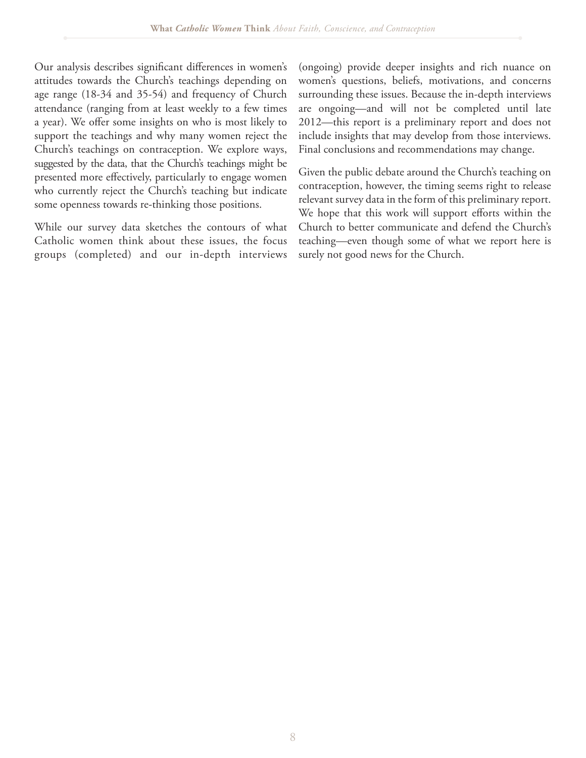Our analysis describes significant differences in women's attitudes towards the Church's teachings depending on age range (18-34 and 35-54) and frequency of Church attendance (ranging from at least weekly to a few times a year). We offer some insights on who is most likely to support the teachings and why many women reject the Church's teachings on contraception. We explore ways, suggested by the data, that the Church's teachings might be presented more effectively, particularly to engage women who currently reject the Church's teaching but indicate some openness towards re-thinking those positions.

While our survey data sketches the contours of what Catholic women think about these issues, the focus groups (completed) and our in-depth interviews

(ongoing) provide deeper insights and rich nuance on women's questions, beliefs, motivations, and concerns surrounding these issues. Because the in-depth interviews are ongoing—and will not be completed until late 2012—this report is a preliminary report and does not include insights that may develop from those interviews. Final conclusions and recommendations may change.

Given the public debate around the Church's teaching on contraception, however, the timing seems right to release relevant survey data in the form of this preliminary report. We hope that this work will support efforts within the Church to better communicate and defend the Church's teaching—even though some of what we report here is surely not good news for the Church.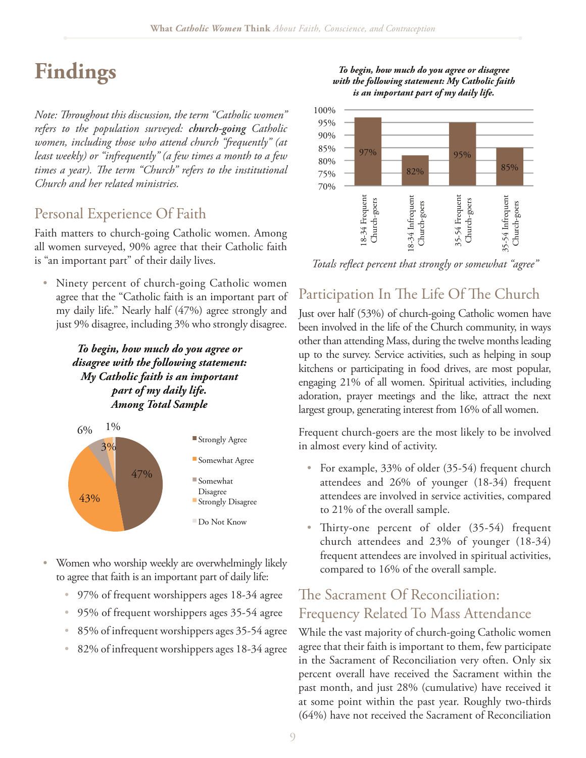## **Findings**

*Note: Throughout this discussion, the term "Catholic women" refers to the population surveyed: church-going Catholic women, including those who attend church "frequently" (at least weekly) or "infrequently" (a few times a month to a few*  times a year). The term "Church" refers to the institutional *Church and her related ministries.* 

#### Personal Experience Of Faith

Faith matters to church-going Catholic women. Among all women surveyed, 90% agree that their Catholic faith is "an important part" of their daily lives.

• Ninety percent of church-going Catholic women agree that the "Catholic faith is an important part of my daily life." Nearly half (47%) agree strongly and just 9% disagree, including 3% who strongly disagree.

> *To begin, how much do you agree or disagree with the following statement: My Catholic faith is an important part of my daily life. Among Total Sample*



- Women who worship weekly are overwhelmingly likely to agree that faith is an important part of daily life:
	- 97% of frequent worshippers ages 18-34 agree
	- 95% of frequent worshippers ages 35-54 agree
	- 85% of infrequent worshippers ages 35-54 agree
	- 82% of infrequent worshippers ages 18-34 agree





*Totals re\$ect percent that strongly or somewhat "agree"*

#### Participation In The Life Of The Church

Just over half (53%) of church-going Catholic women have been involved in the life of the Church community, in ways other than attending Mass, during the twelve months leading up to the survey. Service activities, such as helping in soup kitchens or participating in food drives, are most popular, engaging 21% of all women. Spiritual activities, including adoration, prayer meetings and the like, attract the next largest group, generating interest from 16% of all women.

Frequent church-goers are the most likely to be involved in almost every kind of activity.

- $\bullet$  For example, 33% of older (35-54) frequent church attendees and 26% of younger (18-34) frequent attendees are involved in service activities, compared to 21% of the overall sample.
- Thirty-one percent of older  $(35-54)$  frequent church attendees and 23% of younger (18-34) frequent attendees are involved in spiritual activities, compared to 16% of the overall sample.

#### The Sacrament Of Reconciliation: Frequency Related To Mass Attendance

While the vast majority of church-going Catholic women agree that their faith is important to them, few participate in the Sacrament of Reconciliation very often. Only six percent overall have received the Sacrament within the past month, and just 28% (cumulative) have received it at some point within the past year. Roughly two-thirds (64%) have not received the Sacrament of Reconciliation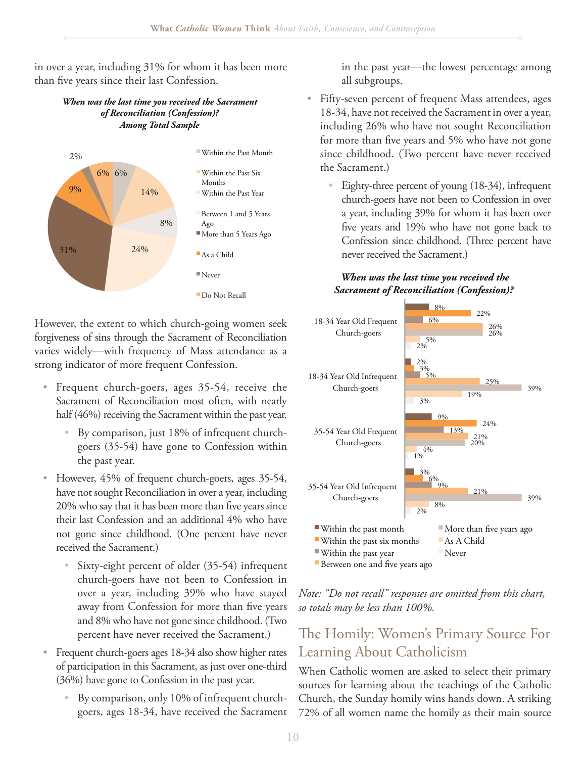in over a year, including 31% for whom it has been more than five years since their last Confession.

#### *When was the last time you received the Sacrament of Reconciliation (Confession)? Among Total Sample*



However, the extent to which church-going women seek forgiveness of sins through the Sacrament of Reconciliation varies widely—with frequency of Mass attendance as a strong indicator of more frequent Confession.

- Frequent church-goers, ages 35-54, receive the Sacrament of Reconciliation most often, with nearly half (46%) receiving the Sacrament within the past year.
	- By comparison, just 18% of infrequent churchgoers (35-54) have gone to Confession within the past year.
- However, 45% of frequent church-goers, ages 35-54, have not sought Reconciliation in over a year, including 20% who say that it has been more than five years since their last Confession and an additional 4% who have not gone since childhood. (One percent have never received the Sacrament.)
	- Sixty-eight percent of older (35-54) infrequent church-goers have not been to Confession in over a year, including 39% who have stayed away from Confession for more than five years and 8% who have not gone since childhood. (Two percent have never received the Sacrament.)
- Frequent church-goers ages 18-34 also show higher rates of participation in this Sacrament, as just over one-third (36%) have gone to Confession in the past year.
	- By comparison, only 10% of infrequent churchgoers, ages 18-34, have received the Sacrament

in the past year—the lowest percentage among all subgroups.

- Fifty-seven percent of frequent Mass attendees, ages 18-34, have not received the Sacrament in over a year, including 26% who have not sought Reconciliation for more than five years and 5% who have not gone since childhood. (Two percent have never received the Sacrament.)
	- Eighty-three percent of young  $(18-34)$ , infrequent church-goers have not been to Confession in over a year, including 39% for whom it has been over five years and 19% who have not gone back to Confession since childhood. (Three percent have never received the Sacrament.)

#### *When was the last time you received the Sacrament of Reconciliation (Confession)?*



*Note: "Do not recall" responses are omitted from this chart, so totals may be less than 100%.* 

### The Homily: Women's Primary Source For Learning About Catholicism

When Catholic women are asked to select their primary sources for learning about the teachings of the Catholic Church, the Sunday homily wins hands down. A striking 72% of all women name the homily as their main source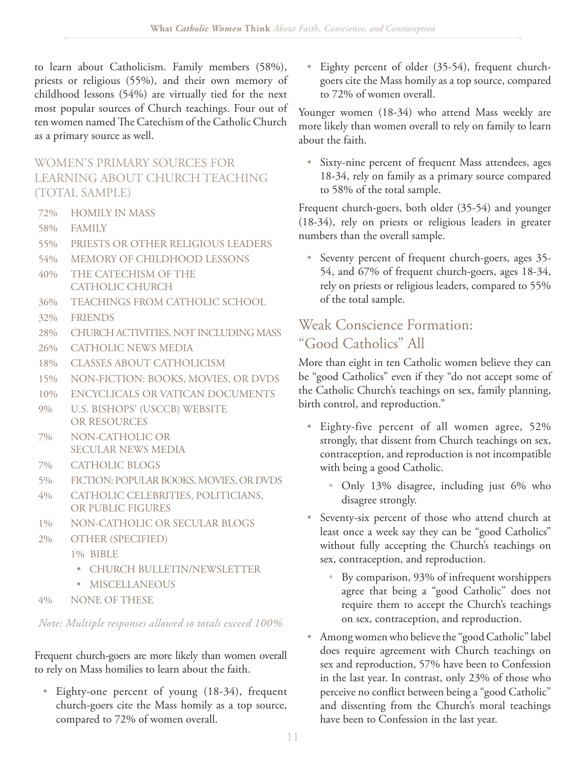to learn about Catholicism. Family members (58%), priests or religious (55%), and their own memory of childhood lessons (54%) are virtually tied for the next most popular sources of Church teachings. Four out of ten women named The Catechism of the Catholic Church as a primary source as well.

#### WOMEN'S PRIMARY SOURCES FOR LEARNING ABOUT CHURCH TEACHING (TOTAL SAMPLE)

- 72% HOMILY IN MASS
- 58% FAMILY
- 55% PRIESTS OR OTHER RELIGIOUS LEADERS
- 54% MEMORY OF CHILDHOOD LESSONS
- 40% THE CATECHISM OF THE CATHOLIC CHURCH
- 36% TEACHINGS FROM CATHOLIC SCHOOL
- 32% FRIENDS
- 28% CHURCH ACTIVITIES, NOT INCLUDING MASS
- 26% CATHOLIC NEWS MEDIA
- 18% CLASSES ABOUT CATHOLICISM
- 15% NON-FICTION: BOOKS, MOVIES, OR DVDS
- 10% ENCYCLICALS OR VATICAN DOCUMENTS
- 9% U.S. BISHOPS' (USCCB) WEBSITE OR RESOURCES
- 7% NON-CATHOLIC OR SECULAR NEWS MEDIA
- 7% CATHOLIC BLOGS
- 5% FICTION: POPULAR BOOKS, MOVIES, OR DVDS
- 4% CATHOLIC CELEBRITIES, POLITICIANS, OR PUBLIC FIGURES
- 1% NON-CATHOLIC OR SECULAR BLOGS
- 2% OTHER (SPECIFIED)
	- 1% BIBLE
		- t CHURCH BULLETIN/NEWSLETTER
	- MISCELLANEOUS
- 4% NONE OF THESE

*Note: Multiple responses allowed so totals exceed 100%*

Frequent church-goers are more likely than women overall to rely on Mass homilies to learn about the faith.

• Eighty-one percent of young  $(18-34)$ , frequent church-goers cite the Mass homily as a top source, compared to 72% of women overall.

• Eighty percent of older (35-54), frequent churchgoers cite the Mass homily as a top source, compared to 72% of women overall.

Younger women (18-34) who attend Mass weekly are more likely than women overall to rely on family to learn about the faith.

• Sixty-nine percent of frequent Mass attendees, ages 18-34, rely on family as a primary source compared to 58% of the total sample.

Frequent church-goers, both older (35-54) and younger (18-34), rely on priests or religious leaders in greater numbers than the overall sample.

• Seventy percent of frequent church-goers, ages 35-54, and 67% of frequent church-goers, ages 18-34, rely on priests or religious leaders, compared to 55% of the total sample.

### Weak Conscience Formation: "Good Catholics" All

More than eight in ten Catholic women believe they can be "good Catholics" even if they "do not accept some of the Catholic Church's teachings on sex, family planning, birth control, and reproduction."

- $\bullet$  Eighty-five percent of all women agree, 52% strongly, that dissent from Church teachings on sex, contraception, and reproduction is not incompatible with being a good Catholic.
	- Only 13% disagree, including just 6% who disagree strongly.
- Seventy-six percent of those who attend church at least once a week say they can be "good Catholics" without fully accepting the Church's teachings on sex, contraception, and reproduction.
	- By comparison, 93% of infrequent worshippers agree that being a "good Catholic" does not require them to accept the Church's teachings on sex, contraception, and reproduction.
- Among women who believe the "good Catholic" label does require agreement with Church teachings on sex and reproduction, 57% have been to Confession in the last year. In contrast, only 23% of those who perceive no conflict between being a "good Catholic" and dissenting from the Church's moral teachings have been to Confession in the last year.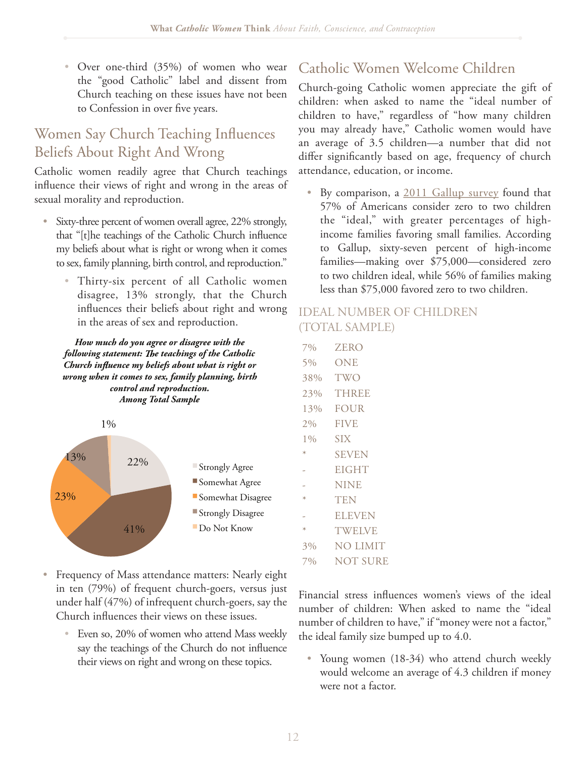• Over one-third  $(35%)$  of women who wear the "good Catholic" label and dissent from Church teaching on these issues have not been to Confession in over five years.

## Women Say Church Teaching Influences Beliefs About Right And Wrong

Catholic women readily agree that Church teachings influence their views of right and wrong in the areas of sexual morality and reproduction.

- Sixty-three percent of women overall agree, 22% strongly, that "[t]he teachings of the Catholic Church influence my beliefs about what is right or wrong when it comes to sex, family planning, birth control, and reproduction."
	- Thirty-six percent of all Catholic women disagree, 13% strongly, that the Church influences their beliefs about right and wrong in the areas of sex and reproduction.

*How much do you agree or disagree with the following statement: The teachings of the Catholic Church influence my beliefs about what is right or wrong when it comes to sex, family planning, birth control and reproduction. Among Total Sample* 



- Frequency of Mass attendance matters: Nearly eight in ten (79%) of frequent church-goers, versus just under half (47%) of infrequent church-goers, say the Church influences their views on these issues.
	- Even so,  $20\%$  of women who attend Mass weekly say the teachings of the Church do not influence their views on right and wrong on these topics.

### Catholic Women Welcome Children

Church-going Catholic women appreciate the gift of children: when asked to name the "ideal number of children to have," regardless of "how many children you may already have," Catholic women would have an average of 3.5 children—a number that did not differ significantly based on age, frequency of church attendance, education, or income.

 $\bullet$  By comparison, a [2011 Gallup survey](http://www.gallup.com/poll/148355/Americans-Preference-Smaller-Families-Edges-Higher.aspx) found that 57% of Americans consider zero to two children the "ideal," with greater percentages of highincome families favoring small families. According to Gallup, sixty-seven percent of high-income families—making over \$75,000—considered zero to two children ideal, while 56% of families making less than \$75,000 favored zero to two children.

#### IDEAL NUMBER OF CHILDREN (TOTAL SAMPLE)

| 7%     | <b>ZERO</b>     |
|--------|-----------------|
| 5%     | ONE             |
| 38%    | TWO             |
|        | 23% THREE       |
| 13%    | <b>FOUR</b>     |
| $2\%$  | <b>FIVE</b>     |
| $1\%$  | SIX             |
| ∗      | <b>SEVEN</b>    |
|        | EIGHT           |
|        | <b>NINE</b>     |
| $\ast$ | TEN             |
|        | <b>ELEVEN</b>   |
| $\ast$ | <b>TWELVE</b>   |
| 3%     | NO LIMIT        |
| 7%     | <b>NOT SURE</b> |

Financial stress influences women's views of the ideal number of children: When asked to name the "ideal number of children to have," if "money were not a factor," the ideal family size bumped up to 4.0.

• Young women (18-34) who attend church weekly would welcome an average of 4.3 children if money were not a factor.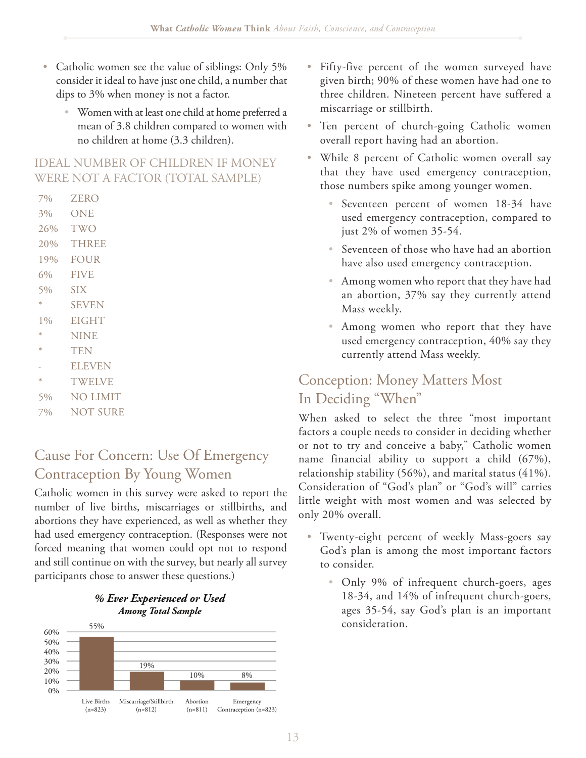- Catholic women see the value of siblings: Only 5% consider it ideal to have just one child, a number that dips to 3% when money is not a factor.
	- Women with at least one child at home preferred a mean of 3.8 children compared to women with no children at home (3.3 children).

#### IDEAL NUMBER OF CHILDREN IF MONEY WERE NOT A FACTOR (TOTAL SAMPLE)

- 7% ZERO
- 3% ONE
- 26% TWO
- 20% THREE
- 19% FOUR
- 6% FIVE
- 5% SIX
- \* SEVEN
- 1% EIGHT
- \* NINE
- \* TEN
- **ELEVEN**
- \* TWELVE
- 5% NO LIMIT
- 7% NOT SURE

#### Cause For Concern: Use Of Emergency Contraception By Young Women

Catholic women in this survey were asked to report the number of live births, miscarriages or stillbirths, and abortions they have experienced, as well as whether they had used emergency contraception. (Responses were not forced meaning that women could opt not to respond and still continue on with the survey, but nearly all survey participants chose to answer these questions.)





- Fifty-five percent of the women surveyed have given birth; 90% of these women have had one to three children. Nineteen percent have suffered a miscarriage or stillbirth.
- Ten percent of church-going Catholic women overall report having had an abortion.
- While 8 percent of Catholic women overall say that they have used emergency contraception, those numbers spike among younger women.
	- Seventeen percent of women 18-34 have used emergency contraception, compared to just 2% of women 35-54.
	- $\bullet$  Seventeen of those who have had an abortion have also used emergency contraception.
	- Among women who report that they have had an abortion, 37% say they currently attend Mass weekly.
	- Among women who report that they have used emergency contraception, 40% say they currently attend Mass weekly.

### Conception: Money Matters Most In Deciding "When"

When asked to select the three "most important factors a couple needs to consider in deciding whether or not to try and conceive a baby," Catholic women name financial ability to support a child (67%), relationship stability (56%), and marital status (41%). Consideration of "God's plan" or "God's will" carries little weight with most women and was selected by only 20% overall.

- Twenty-eight percent of weekly Mass-goers say God's plan is among the most important factors to consider.
	- Only 9% of infrequent church-goers, ages 18-34, and 14% of infrequent church-goers, ages 35-54, say God's plan is an important consideration.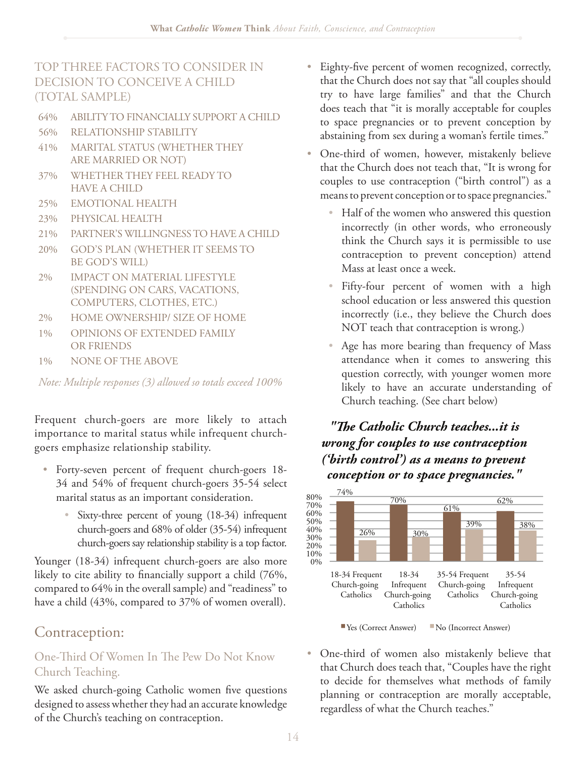TOP THREE FACTORS TO CONSIDER IN DECISION TO CONCEIVE A CHILD (TOTAL SAMPLE)

- 64% ABILITY TO FINANCIALLY SUPPORT A CHILD
- 56% RELATIONSHIP STABILITY
- 41% MARITAL STATUS (WHETHER THEY ARE MARRIED OR NOT)
- 37% WHETHER THEY FEEL READY TO HAVE A CHILD
- 25% EMOTIONAL HEALTH
- 23% PHYSICAL HEALTH
- 21% PARTNER'S WILLINGNESS TO HAVE A CHILD
- 20% GOD'S PLAN (WHETHER IT SEEMS TO BE GOD'S WILL)
- 2% IMPACT ON MATERIAL LIFESTYLE (SPENDING ON CARS, VACATIONS, COMPUTERS, CLOTHES, ETC.)
- 2% HOME OWNERSHIP/ SIZE OF HOME
- 1% OPINIONS OF EXTENDED FAMILY OR FRIENDS
- 1% NONE OF THE ABOVE

*Note: Multiple responses (3) allowed so totals exceed 100%*

Frequent church-goers are more likely to attach importance to marital status while infrequent churchgoers emphasize relationship stability.

- Forty-seven percent of frequent church-goers 18-34 and 54% of frequent church-goers 35-54 select marital status as an important consideration.
	- Sixty-three percent of young (18-34) infrequent church-goers and 68% of older (35-54) infrequent church-goers say relationship stability is a top factor.

Younger (18-34) infrequent church-goers are also more likely to cite ability to financially support a child  $(76\%,$ compared to 64% in the overall sample) and "readiness" to have a child (43%, compared to 37% of women overall).

### Contraception:

#### One-Third Of Women In The Pew Do Not Know Church Teaching.

We asked church-going Catholic women five questions designed to assess whether they had an accurate knowledge of the Church's teaching on contraception.

- Eighty-five percent of women recognized, correctly, that the Church does not say that "all couples should try to have large families" and that the Church does teach that "it is morally acceptable for couples to space pregnancies or to prevent conception by abstaining from sex during a woman's fertile times."
- One-third of women, however, mistakenly believe that the Church does not teach that, "It is wrong for couples to use contraception ("birth control") as a means to prevent conception or to space pregnancies."
	- Half of the women who answered this question incorrectly (in other words, who erroneously think the Church says it is permissible to use contraception to prevent conception) attend Mass at least once a week.
	- Fifty-four percent of women with a high school education or less answered this question incorrectly (i.e., they believe the Church does NOT teach that contraception is wrong.)
	- Age has more bearing than frequency of Mass attendance when it comes to answering this question correctly, with younger women more likely to have an accurate understanding of Church teaching. (See chart below)

#### *"The Catholic Church teaches...it is wrong for couples to use contraception ('birth control') as a means to prevent conception or to space pregnancies."*



■ Yes (Correct Answer) ■ No (Incorrect Answer)

• One-third of women also mistakenly believe that that Church does teach that, "Couples have the right to decide for themselves what methods of family planning or contraception are morally acceptable, regardless of what the Church teaches."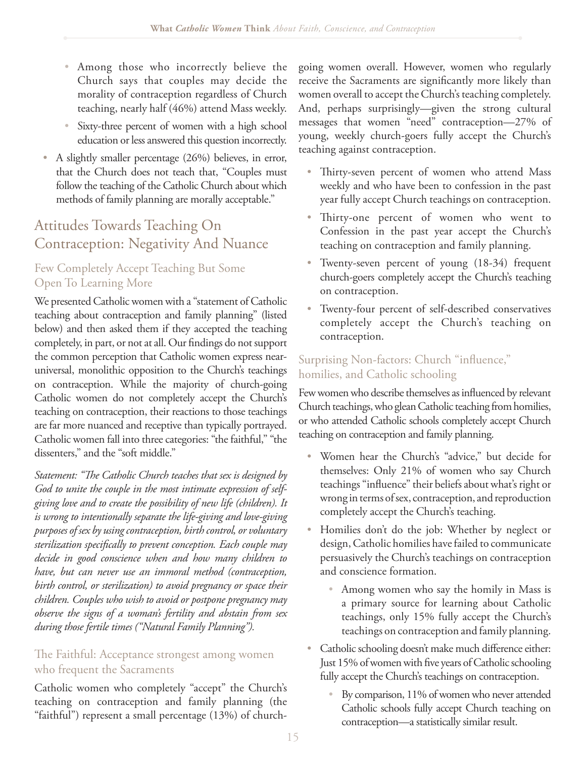- Among those who incorrectly believe the Church says that couples may decide the morality of contraception regardless of Church teaching, nearly half (46%) attend Mass weekly.
- Sixty-three percent of women with a high school education or less answered this question incorrectly.
- $\bullet$  A slightly smaller percentage (26%) believes, in error, that the Church does not teach that, "Couples must follow the teaching of the Catholic Church about which methods of family planning are morally acceptable."

## Attitudes Towards Teaching On Contraception: Negativity And Nuance

#### Few Completely Accept Teaching But Some Open To Learning More

We presented Catholic women with a "statement of Catholic teaching about contraception and family planning" (listed below) and then asked them if they accepted the teaching completely, in part, or not at all. Our findings do not support the common perception that Catholic women express nearuniversal, monolithic opposition to the Church's teachings on contraception. While the majority of church-going Catholic women do not completely accept the Church's teaching on contraception, their reactions to those teachings are far more nuanced and receptive than typically portrayed. Catholic women fall into three categories: "the faithful," "the dissenters," and the "soft middle."

Statement: "The Catholic Church teaches that sex is designed by *God to unite the couple in the most intimate expression of selfgiving love and to create the possibility of new life (children). It is wrong to intentionally separate the life-giving and love-giving purposes of sex by using contraception, birth control, or voluntary*  sterilization specifically to prevent conception. Each couple may *decide in good conscience when and how many children to have, but can never use an immoral method (contraception, birth control, or sterilization) to avoid pregnancy or space their children. Couples who wish to avoid or postpone pregnancy may observe the signs of a woman's fertility and abstain from sex during those fertile times ("Natural Family Planning").* 

#### The Faithful: Acceptance strongest among women who frequent the Sacraments

Catholic women who completely "accept" the Church's teaching on contraception and family planning (the "faithful") represent a small percentage (13%) of churchgoing women overall. However, women who regularly receive the Sacraments are significantly more likely than women overall to accept the Church's teaching completely. And, perhaps surprisingly—given the strong cultural messages that women "need" contraception—27% of young, weekly church-goers fully accept the Church's teaching against contraception.

- Thirty-seven percent of women who attend Mass weekly and who have been to confession in the past year fully accept Church teachings on contraception.
- Thirty-one percent of women who went to Confession in the past year accept the Church's teaching on contraception and family planning.
- Twenty-seven percent of young (18-34) frequent church-goers completely accept the Church's teaching on contraception.
- Twenty-four percent of self-described conservatives completely accept the Church's teaching on contraception.

#### Surprising Non-factors: Church "influence," homilies, and Catholic schooling

Few women who describe themselves as influenced by relevant Church teachings, who glean Catholic teaching from homilies, or who attended Catholic schools completely accept Church teaching on contraception and family planning.

- Women hear the Church's "advice," but decide for themselves: Only 21% of women who say Church teachings "influence" their beliefs about what's right or wrong in terms of sex, contraception, and reproduction completely accept the Church's teaching.
- Homilies don't do the job: Whether by neglect or design, Catholic homilies have failed to communicate persuasively the Church's teachings on contraception and conscience formation.
	- Among women who say the homily in Mass is a primary source for learning about Catholic teachings, only 15% fully accept the Church's teachings on contraception and family planning.
- Catholic schooling doesn't make much difference either: Just 15% of women with five years of Catholic schooling fully accept the Church's teachings on contraception.
	- By comparison, 11% of women who never attended Catholic schools fully accept Church teaching on contraception—a statistically similar result.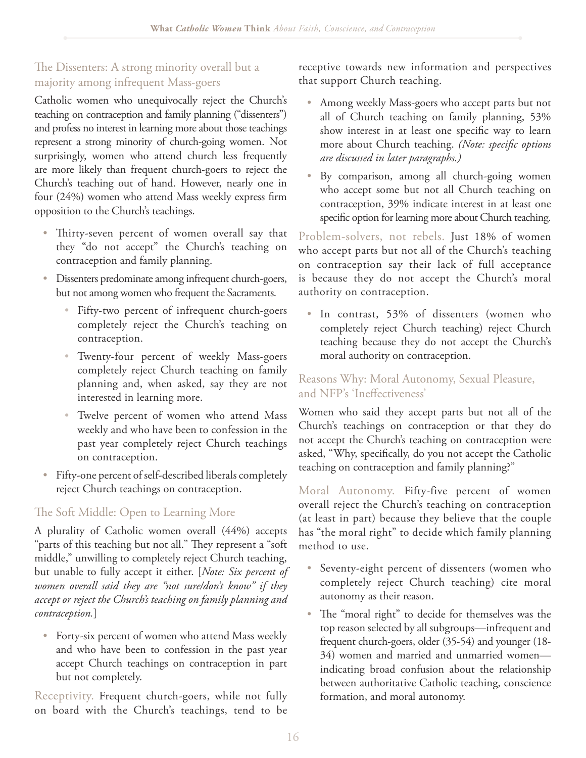#### The Dissenters: A strong minority overall but a majority among infrequent Mass-goers

Catholic women who unequivocally reject the Church's teaching on contraception and family planning ("dissenters") and profess no interest in learning more about those teachings represent a strong minority of church-going women. Not surprisingly, women who attend church less frequently are more likely than frequent church-goers to reject the Church's teaching out of hand. However, nearly one in four  $(24%)$  women who attend Mass weekly express firm opposition to the Church's teachings.

- Thirty-seven percent of women overall say that they "do not accept" the Church's teaching on contraception and family planning.
- Dissenters predominate among infrequent church-goers, but not among women who frequent the Sacraments.
	- Fifty-two percent of infrequent church-goers completely reject the Church's teaching on contraception.
	- Twenty-four percent of weekly Mass-goers completely reject Church teaching on family planning and, when asked, say they are not interested in learning more.
	- Twelve percent of women who attend Mass weekly and who have been to confession in the past year completely reject Church teachings on contraception.
- Fifty-one percent of self-described liberals completely reject Church teachings on contraception.

#### The Soft Middle: Open to Learning More

A plurality of Catholic women overall (44%) accepts "parts of this teaching but not all." They represent a "soft middle," unwilling to completely reject Church teaching, but unable to fully accept it either. [*Note: Six percent of women overall said they are "not sure/don't know" if they accept or reject the Church's teaching on family planning and contraception.*]

• Forty-six percent of women who attend Mass weekly and who have been to confession in the past year accept Church teachings on contraception in part but not completely.

Receptivity. Frequent church-goers, while not fully on board with the Church's teachings, tend to be

receptive towards new information and perspectives that support Church teaching.

- Among weekly Mass-goers who accept parts but not all of Church teaching on family planning, 53% show interest in at least one specific way to learn more about Church teaching. (Note: specific options *are discussed in later paragraphs.)*
- By comparison, among all church-going women who accept some but not all Church teaching on contraception, 39% indicate interest in at least one specific option for learning more about Church teaching.

Problem-solvers, not rebels. Just 18% of women who accept parts but not all of the Church's teaching on contraception say their lack of full acceptance is because they do not accept the Church's moral authority on contraception.

• In contrast, 53% of dissenters (women who completely reject Church teaching) reject Church teaching because they do not accept the Church's moral authority on contraception.

#### Reasons Why: Moral Autonomy, Sexual Pleasure, and NFP's 'Ineffectiveness'

Women who said they accept parts but not all of the Church's teachings on contraception or that they do not accept the Church's teaching on contraception were asked, "Why, specifically, do you not accept the Catholic teaching on contraception and family planning?"

Moral Autonomy. Fifty-five percent of women overall reject the Church's teaching on contraception (at least in part) because they believe that the couple has "the moral right" to decide which family planning method to use.

- Seventy-eight percent of dissenters (women who completely reject Church teaching) cite moral autonomy as their reason.
- The "moral right" to decide for themselves was the top reason selected by all subgroups—infrequent and frequent church-goers, older (35-54) and younger (18- 34) women and married and unmarried women indicating broad confusion about the relationship between authoritative Catholic teaching, conscience formation, and moral autonomy.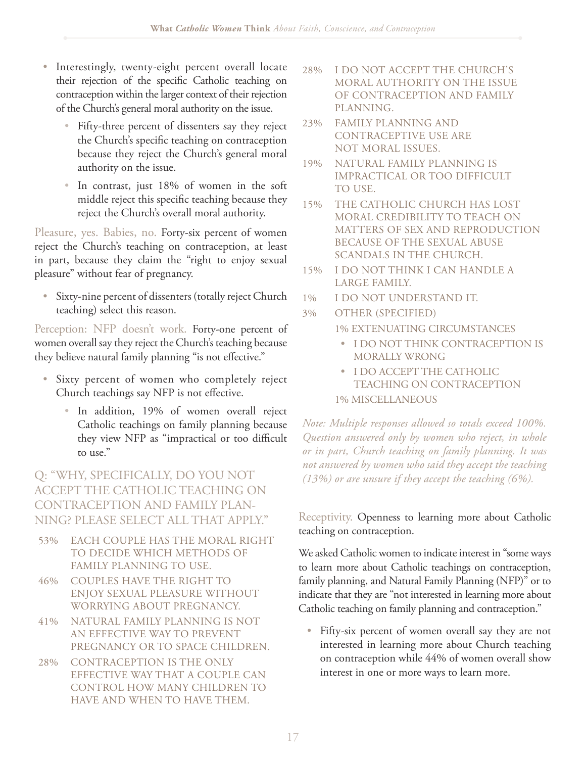- Interestingly, twenty-eight percent overall locate their rejection of the specific Catholic teaching on contraception within the larger context of their rejection of the Church's general moral authority on the issue.
	- Fifty-three percent of dissenters say they reject the Church's specific teaching on contraception because they reject the Church's general moral authority on the issue.
	- In contrast, just 18% of women in the soft middle reject this specific teaching because they reject the Church's overall moral authority.

Pleasure, yes. Babies, no. Forty-six percent of women reject the Church's teaching on contraception, at least in part, because they claim the "right to enjoy sexual pleasure" without fear of pregnancy.

• Sixty-nine percent of dissenters (totally reject Church teaching) select this reason.

Perception: NFP doesn't work. Forty-one percent of women overall say they reject the Church's teaching because they believe natural family planning "is not effective."

- Sixty percent of women who completely reject Church teachings say NFP is not effective.
	- In addition, 19% of women overall reject Catholic teachings on family planning because they view NFP as "impractical or too difficult to use."

Q: "WHY, SPECIFICALLY, DO YOU NOT ACCEPT THE CATHOLIC TEACHING ON CONTRACEPTION AND FAMILY PLAN-NING? PLEASE SELECT ALL THAT APPLY."

- 53% EACH COUPLE HAS THE MORAL RIGHT TO DECIDE WHICH METHODS OF FAMILY PLANNING TO USE.
- 46% COUPLES HAVE THE RIGHT TO ENJOY SEXUAL PLEASURE WITHOUT WORRYING ABOUT PREGNANCY.
- 41% NATURAL FAMILY PLANNING IS NOT AN EFFECTIVE WAY TO PREVENT PREGNANCY OR TO SPACE CHILDREN.
- 28% CONTRACEPTION IS THE ONLY EFFECTIVE WAY THAT A COUPLE CAN CONTROL HOW MANY CHILDREN TO HAVE AND WHEN TO HAVE THEM.
- 28% I DO NOT ACCEPT THE CHURCH'S MORAL AUTHORITY ON THE ISSUE OF CONTRACEPTION AND FAMILY PLANNING.
- 23% FAMILY PLANNING AND CONTRACEPTIVE USE ARE NOT MORAL ISSUES.
- 19% NATURAL FAMILY PLANNING IS IMPRACTICAL OR TOO DIFFICULT TO USE.
- 15% THE CATHOLIC CHURCH HAS LOST MORAL CREDIBILITY TO TEACH ON MATTERS OF SEX AND REPRODUCTION BECAUSE OF THE SEXUAL ABUSE SCANDALS IN THE CHURCH.
- 15% I DO NOT THINK I CAN HANDLE A LARGE FAMILY.
- 1% I DO NOT UNDERSTAND IT.
- 3% OTHER (SPECIFIED)
	- 1% EXTENUATING CIRCUMSTANCES
		- t I DO NOT THINK CONTRACEPTION IS MORALLY WRONG
	- **I DO ACCEPT THE CATHOLIC** TEACHING ON CONTRACEPTION 1% MISCELLANEOUS

*Note: Multiple responses allowed so totals exceed 100%. Question answered only by women who reject, in whole or in part, Church teaching on family planning. It was not answered by women who said they accept the teaching (13%) or are unsure if they accept the teaching (6%).*

Receptivity. Openness to learning more about Catholic teaching on contraception.

We asked Catholic women to indicate interest in "some ways to learn more about Catholic teachings on contraception, family planning, and Natural Family Planning (NFP)" or to indicate that they are "not interested in learning more about Catholic teaching on family planning and contraception."

• Fifty-six percent of women overall say they are not interested in learning more about Church teaching on contraception while 44% of women overall show interest in one or more ways to learn more.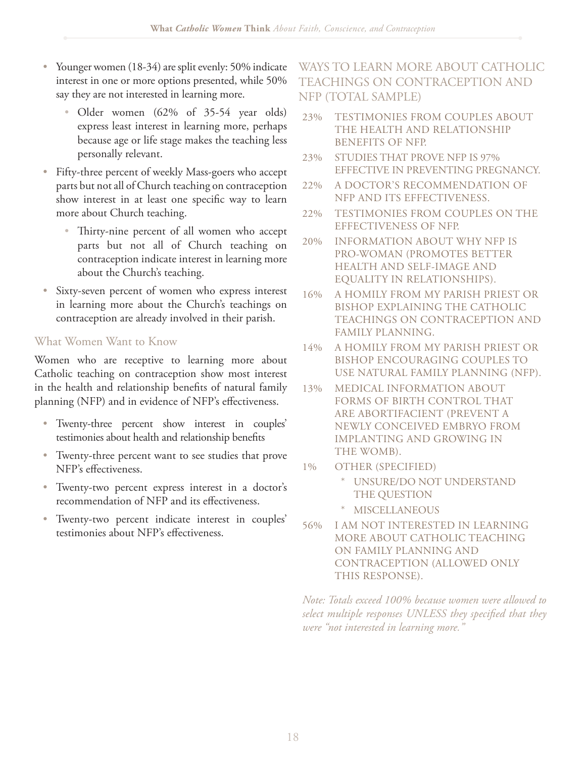- Younger women (18-34) are split evenly: 50% indicate interest in one or more options presented, while 50% say they are not interested in learning more.
	- Older women  $(62\% \text{ of } 35-54 \text{ year old})$ express least interest in learning more, perhaps because age or life stage makes the teaching less personally relevant.
- Fifty-three percent of weekly Mass-goers who accept parts but not all of Church teaching on contraception show interest in at least one specific way to learn more about Church teaching.
	- Thirty-nine percent of all women who accept parts but not all of Church teaching on contraception indicate interest in learning more about the Church's teaching.
- Sixty-seven percent of women who express interest in learning more about the Church's teachings on contraception are already involved in their parish.

#### What Women Want to Know

Women who are receptive to learning more about Catholic teaching on contraception show most interest in the health and relationship benefits of natural family planning (NFP) and in evidence of NFP's effectiveness.

- Twenty-three percent show interest in couples' testimonies about health and relationship benefits
- Twenty-three percent want to see studies that prove NFP's effectiveness.
- Twenty-two percent express interest in a doctor's recommendation of NFP and its effectiveness.
- Twenty-two percent indicate interest in couples' testimonies about NFP's effectiveness.

#### WAYS TO LEARN MORE ABOUT CATHOLIC TEACHINGS ON CONTRACEPTION AND NFP (TOTAL SAMPLE)

- 23% TESTIMONIES FROM COUPLES ABOUT THE HEALTH AND RELATIONSHIP BENEFITS OF NFP.
- 23% STUDIES THAT PROVE NFP IS 97% EFFECTIVE IN PREVENTING PREGNANCY.
- 22% A DOCTOR'S RECOMMENDATION OF NFP AND ITS EFFECTIVENESS.
- 22% TESTIMONIES FROM COUPLES ON THE EFFECTIVENESS OF NFP.
- 20% INFORMATION ABOUT WHY NFP IS PRO-WOMAN (PROMOTES BETTER HEALTH AND SELF-IMAGE AND EQUALITY IN RELATIONSHIPS).
- 16% A HOMILY FROM MY PARISH PRIEST OR BISHOP EXPLAINING THE CATHOLIC TEACHINGS ON CONTRACEPTION AND FAMILY PLANNING.
- 14% A HOMILY FROM MY PARISH PRIEST OR BISHOP ENCOURAGING COUPLES TO USE NATURAL FAMILY PLANNING (NFP).
- 13% MEDICAL INFORMATION ABOUT FORMS OF BIRTH CONTROL THAT ARE ABORTIFACIENT (PREVENT A NEWLY CONCEIVED EMBRYO FROM IMPLANTING AND GROWING IN THE WOMB).
- 1% OTHER (SPECIFIED)
	- UNSURE/DO NOT UNDERSTAND THE QUESTION
	- **MISCELLANEOUS**
- 56% I AM NOT INTERESTED IN LEARNING MORE ABOUT CATHOLIC TEACHING ON FAMILY PLANNING AND CONTRACEPTION (ALLOWED ONLY THIS RESPONSE).

*Note: Totals exceed 100% because women were allowed to*  select multiple responses UNLESS they specified that they *were "not interested in learning more."*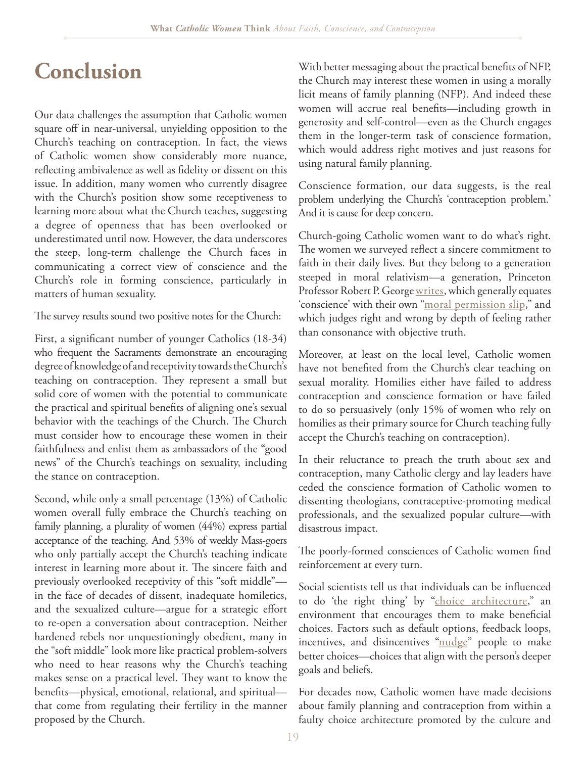## **Conclusion**

Our data challenges the assumption that Catholic women square off in near-universal, unyielding opposition to the Church's teaching on contraception. In fact, the views of Catholic women show considerably more nuance, reflecting ambivalence as well as fidelity or dissent on this issue. In addition, many women who currently disagree with the Church's position show some receptiveness to learning more about what the Church teaches, suggesting a degree of openness that has been overlooked or underestimated until now. However, the data underscores the steep, long-term challenge the Church faces in communicating a correct view of conscience and the Church's role in forming conscience, particularly in matters of human sexuality.

The survey results sound two positive notes for the Church:

First, a significant number of younger Catholics (18-34) who frequent the Sacraments demonstrate an encouraging degree of knowledge of and receptivity towards the Church's teaching on contraception. They represent a small but solid core of women with the potential to communicate the practical and spiritual benefits of aligning one's sexual behavior with the teachings of the Church. The Church must consider how to encourage these women in their faithfulness and enlist them as ambassadors of the "good news" of the Church's teachings on sexuality, including the stance on contraception.

Second, while only a small percentage (13%) of Catholic women overall fully embrace the Church's teaching on family planning, a plurality of women (44%) express partial acceptance of the teaching. And 53% of weekly Mass-goers who only partially accept the Church's teaching indicate interest in learning more about it. The sincere faith and previously overlooked receptivity of this "soft middle" in the face of decades of dissent, inadequate homiletics, and the sexualized culture—argue for a strategic effort to re-open a conversation about contraception. Neither hardened rebels nor unquestioningly obedient, many in the "soft middle" look more like practical problem-solvers who need to hear reasons why the Church's teaching makes sense on a practical level. They want to know the benefits—physical, emotional, relational, and spiritual that come from regulating their fertility in the manner proposed by the Church.

With better messaging about the practical benefits of NFP, the Church may interest these women in using a morally licit means of family planning (NFP). And indeed these women will accrue real benefits—including growth in generosity and self-control—even as the Church engages them in the longer-term task of conscience formation, which would address right motives and just reasons for using natural family planning.

Conscience formation, our data suggests, is the real problem underlying the Church's 'contraception problem.' And it is cause for deep concern.

Church-going Catholic women want to do what's right. The women we surveyed reflect a sincere commitment to faith in their daily lives. But they belong to a generation steeped in moral relativism—a generation, Princeton Professor Robert P. George [writes,](http://mirrorofjustice.blogs.com/mirrorofjustice/2010/07/relativism-conscience-and-moral-obligation.html) which generally equates 'conscience' with their own ["moral permission slip,](http://mirrorofjustice.blogs.com/mirrorofjustice/2011/06/no-one-is-more-keenly-aware-than-am-i-that-there-are-many-honorable-fair-minded-and-non-fanatical-liberals-since-there-wer.html)" and which judges right and wrong by depth of feeling rather than consonance with objective truth.

Moreover, at least on the local level, Catholic women have not benefited from the Church's clear teaching on sexual morality. Homilies either have failed to address contraception and conscience formation or have failed to do so persuasively (only 15% of women who rely on homilies as their primary source for Church teaching fully accept the Church's teaching on contraception).

In their reluctance to preach the truth about sex and contraception, many Catholic clergy and lay leaders have ceded the conscience formation of Catholic women to dissenting theologians, contraceptive-promoting medical professionals, and the sexualized popular culture—with disastrous impact.

The poorly-formed consciences of Catholic women find reinforcement at every turn.

Social scientists tell us that individuals can be influenced to do 'the right thing' by ["choice architecture](http://papers.ssrn.com/sol3/papers.cfm?abstract_id=1583509)," an environment that encourages them to make beneficial choices. Factors such as default options, feedback loops, incentives, and disincentives ["nudge"](http://www.amazon.com/Nudge-Improving-Decisions-Health-Happiness/dp/0300122233) people to make better choices—choices that align with the person's deeper goals and beliefs.

For decades now, Catholic women have made decisions about family planning and contraception from within a faulty choice architecture promoted by the culture and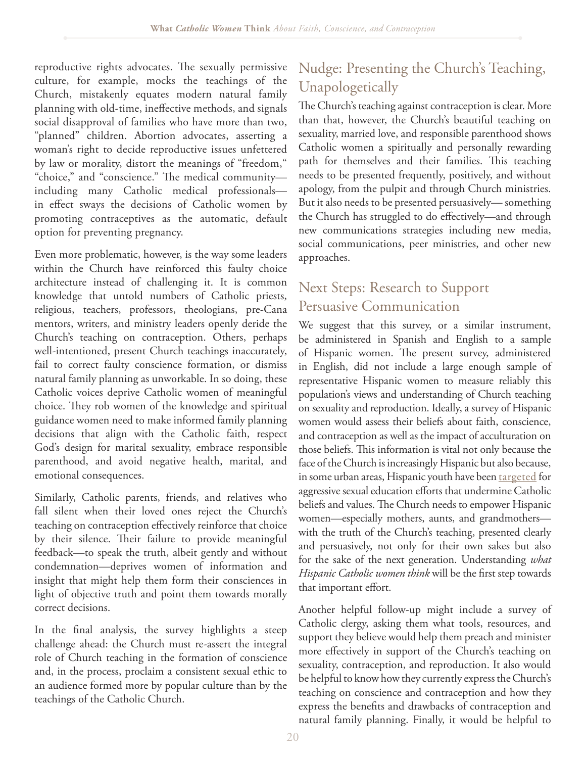reproductive rights advocates. The sexually permissive culture, for example, mocks the teachings of the Church, mistakenly equates modern natural family planning with old-time, ineffective methods, and signals social disapproval of families who have more than two, "planned" children. Abortion advocates, asserting a woman's right to decide reproductive issues unfettered by law or morality, distort the meanings of "freedom," "choice," and "conscience." The medical community including many Catholic medical professionals in effect sways the decisions of Catholic women by promoting contraceptives as the automatic, default option for preventing pregnancy.

Even more problematic, however, is the way some leaders within the Church have reinforced this faulty choice architecture instead of challenging it. It is common knowledge that untold numbers of Catholic priests, religious, teachers, professors, theologians, pre-Cana mentors, writers, and ministry leaders openly deride the Church's teaching on contraception. Others, perhaps well-intentioned, present Church teachings inaccurately, fail to correct faulty conscience formation, or dismiss natural family planning as unworkable. In so doing, these Catholic voices deprive Catholic women of meaningful choice. They rob women of the knowledge and spiritual guidance women need to make informed family planning decisions that align with the Catholic faith, respect God's design for marital sexuality, embrace responsible parenthood, and avoid negative health, marital, and emotional consequences.

Similarly, Catholic parents, friends, and relatives who fall silent when their loved ones reject the Church's teaching on contraception effectively reinforce that choice by their silence. Their failure to provide meaningful feedback—to speak the truth, albeit gently and without condemnation—deprives women of information and insight that might help them form their consciences in light of objective truth and point them towards morally correct decisions.

In the final analysis, the survey highlights a steep challenge ahead: the Church must re-assert the integral role of Church teaching in the formation of conscience and, in the process, proclaim a consistent sexual ethic to an audience formed more by popular culture than by the teachings of the Catholic Church.

## Nudge: Presenting the Church's Teaching, Unapologetically

The Church's teaching against contraception is clear. More than that, however, the Church's beautiful teaching on sexuality, married love, and responsible parenthood shows Catholic women a spiritually and personally rewarding path for themselves and their families. This teaching needs to be presented frequently, positively, and without apology, from the pulpit and through Church ministries. But it also needs to be presented persuasively— something the Church has struggled to do effectively—and through new communications strategies including new media, social communications, peer ministries, and other new approaches.

#### Next Steps: Research to Support Persuasive Communication

We suggest that this survey, or a similar instrument, be administered in Spanish and English to a sample of Hispanic women. The present survey, administered in English, did not include a large enough sample of representative Hispanic women to measure reliably this population's views and understanding of Church teaching on sexuality and reproduction. Ideally, a survey of Hispanic women would assess their beliefs about faith, conscience, and contraception as well as the impact of acculturation on those beliefs. This information is vital not only because the face of the Church is increasingly Hispanic but also because, in some urban areas, Hispanic youth have been [targeted](http://www.nytimes.com/2011/08/11/opinion/sex-education-long-overdue.html) for aggressive sexual education efforts that undermine Catholic beliefs and values. The Church needs to empower Hispanic women—especially mothers, aunts, and grandmothers with the truth of the Church's teaching, presented clearly and persuasively, not only for their own sakes but also for the sake of the next generation. Understanding *what Hispanic Catholic women think* will be the first step towards that important effort.

Another helpful follow-up might include a survey of Catholic clergy, asking them what tools, resources, and support they believe would help them preach and minister more effectively in support of the Church's teaching on sexuality, contraception, and reproduction. It also would be helpful to know how they currently express the Church's teaching on conscience and contraception and how they express the benefits and drawbacks of contraception and natural family planning. Finally, it would be helpful to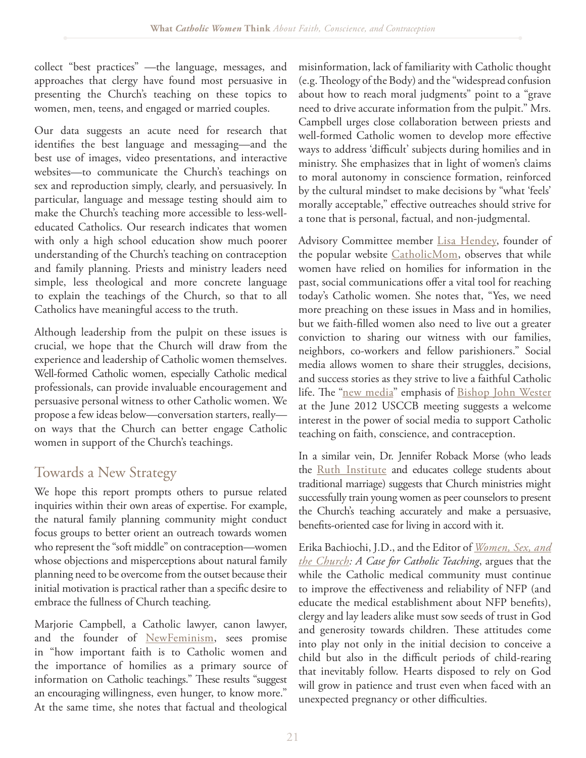collect "best practices" —the language, messages, and approaches that clergy have found most persuasive in presenting the Church's teaching on these topics to women, men, teens, and engaged or married couples.

Our data suggests an acute need for research that identifies the best language and messaging—and the best use of images, video presentations, and interactive websites—to communicate the Church's teachings on sex and reproduction simply, clearly, and persuasively. In particular, language and message testing should aim to make the Church's teaching more accessible to less-welleducated Catholics. Our research indicates that women with only a high school education show much poorer understanding of the Church's teaching on contraception and family planning. Priests and ministry leaders need simple, less theological and more concrete language to explain the teachings of the Church, so that to all Catholics have meaningful access to the truth.

Although leadership from the pulpit on these issues is crucial, we hope that the Church will draw from the experience and leadership of Catholic women themselves. Well-formed Catholic women, especially Catholic medical professionals, can provide invaluable encouragement and persuasive personal witness to other Catholic women. We propose a few ideas below—conversation starters, really on ways that the Church can better engage Catholic women in support of the Church's teachings.

## Towards a New Strategy

We hope this report prompts others to pursue related inquiries within their own areas of expertise. For example, the natural family planning community might conduct focus groups to better orient an outreach towards women who represent the "soft middle" on contraception—women whose objections and misperceptions about natural family planning need to be overcome from the outset because their initial motivation is practical rather than a specific desire to embrace the fullness of Church teaching.

Marjorie Campbell, a Catholic lawyer, canon lawyer, and the founder of [NewFeminism,](http://www.newfeminism.co/) sees promise in "how important faith is to Catholic women and the importance of homilies as a primary source of information on Catholic teachings." These results "suggest an encouraging willingness, even hunger, to know more." At the same time, she notes that factual and theological

misinformation, lack of familiarity with Catholic thought (e.g. Theology of the Body) and the "widespread confusion about how to reach moral judgments" point to a "grave need to drive accurate information from the pulpit." Mrs. Campbell urges close collaboration between priests and well-formed Catholic women to develop more effective ways to address 'difficult' subjects during homilies and in ministry. She emphasizes that in light of women's claims to moral autonomy in conscience formation, reinforced by the cultural mindset to make decisions by "what 'feels' morally acceptable," effective outreaches should strive for a tone that is personal, factual, and non-judgmental.

Advisory Committee member [Lisa Hendey,](http://lisahendey.com/) founder of the popular website [CatholicMom,](http://catholicmom.com/) observes that while women have relied on homilies for information in the past, social communications offer a vital tool for reaching today's Catholic women. She notes that, "Yes, we need more preaching on these issues in Mass and in homilies, but we faith-filled women also need to live out a greater conviction to sharing our witness with our families, neighbors, co-workers and fellow parishioners." Social media allows women to share their struggles, decisions, and success stories as they strive to live a faithful Catholic life. The ["new media"](http://www.usccb.org/about/leadership/usccb-general-assembly/2012-june-meeting/using-the-new-media-for-the-new-evangelization.cfm) emphasis of [Bishop John Wester](http://www.usccb.org/about/leadership/usccb-general-assembly/2012-june-meeting/using-the-new-media-for-the-new-evangelization.cfm) at the June 2012 USCCB meeting suggests a welcome interest in the power of social media to support Catholic teaching on faith, conscience, and contraception.

In a similar vein, Dr. Jennifer Roback Morse (who leads the [Ruth Institute](http://www.ruthinstitute.org/) and educates college students about traditional marriage) suggests that Church ministries might successfully train young women as peer counselors to present the Church's teaching accurately and make a persuasive, benefits-oriented case for living in accord with it.

Erika Bachiochi, J.D., and the Editor of *[Women, Sex, and](http://www.amazon.com/Women-Sex-Church-Catholic-Teaching/dp/0819883204)  [the Church](http://www.amazon.com/Women-Sex-Church-Catholic-Teaching/dp/0819883204): A Case for Catholic Teaching*, argues that the while the Catholic medical community must continue to improve the effectiveness and reliability of NFP (and educate the medical establishment about NFP benefits), clergy and lay leaders alike must sow seeds of trust in God and generosity towards children. These attitudes come into play not only in the initial decision to conceive a child but also in the difficult periods of child-rearing that inevitably follow. Hearts disposed to rely on God will grow in patience and trust even when faced with an unexpected pregnancy or other difficulties.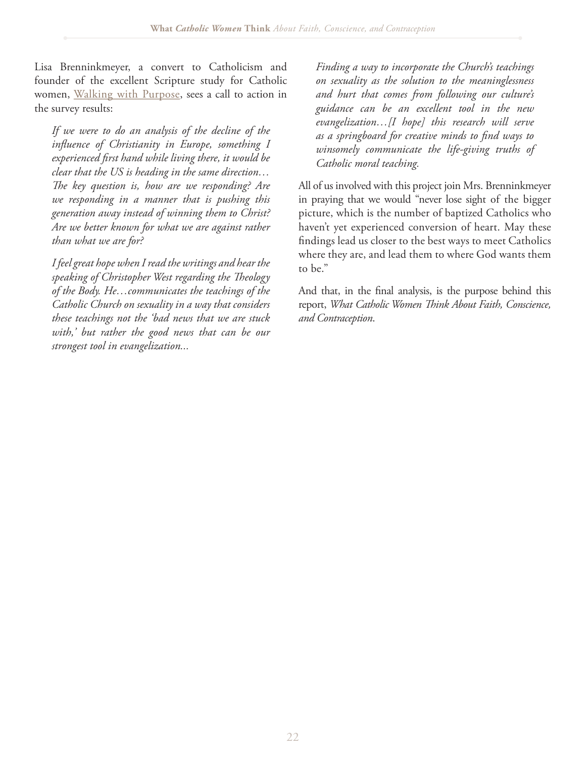Lisa Brenninkmeyer, a convert to Catholicism and founder of the excellent Scripture study for Catholic women, [Walking with Purpose](http://www.walkingwithpurpose.com/), sees a call to action in the survey results:

*If we were to do an analysis of the decline of the in\$uence of Christianity in Europe, something I experienced "rst hand while living there, it would be clear that the US is heading in the same direction…* The key question is, how are we responding? Are *we responding in a manner that is pushing this generation away instead of winning them to Christ? Are we better known for what we are against rather than what we are for?*

*I feel great hope when I read the writings and hear the*  speaking of Christopher West regarding the Theology *of the Body. He…communicates the teachings of the Catholic Church on sexuality in a way that considers these teachings not the 'bad news that we are stuck with,' but rather the good news that can be our strongest tool in evangelization...*

*Finding a way to incorporate the Church's teachings on sexuality as the solution to the meaninglessness and hurt that comes from following our culture's guidance can be an excellent tool in the new evangelization…[I hope] this research will serve as a springboard for creative minds to "nd ways to winsomely communicate the life-giving truths of Catholic moral teaching.*

All of us involved with this project join Mrs. Brenninkmeyer in praying that we would "never lose sight of the bigger picture, which is the number of baptized Catholics who haven't yet experienced conversion of heart. May these findings lead us closer to the best ways to meet Catholics where they are, and lead them to where God wants them to be."

And that, in the final analysis, is the purpose behind this report, *What Catholic Women Think About Faith, Conscience, and Contraception*.